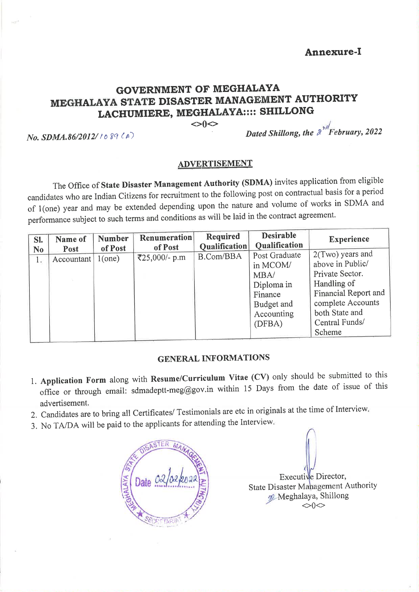Annexure-I

## **GOVERNMENT OF MEGHALAYA** MEGHALAYA STATE DISASTER MANAGEMENT AUTHORITY LACHUMIERE, MEGHALAYA:::: SHILLONG

 $\Diamond$ 

No. SDMA.86/2012/1089(A)

Dated Shillong, the  $\lambda^{n}$  February, 2022

## **ADVERTISEMENT**

The Office of State Disaster Management Authority (SDMA) invites application from eligible candidates who are Indian Citizens for recruitment to the following post on contractual basis for a period of 1(one) year and may be extended depending upon the nature and volume of works in SDMA and performance subject to such terms and conditions as will be laid in the contract agreement.

| SI.            | Name of    | <b>Number</b> | Renumeration  | <b>Required</b>      | <b>Desirable</b>                                                                                 | <b>Experience</b>                                                                                                                                                 |  |  |  |  |  |  |
|----------------|------------|---------------|---------------|----------------------|--------------------------------------------------------------------------------------------------|-------------------------------------------------------------------------------------------------------------------------------------------------------------------|--|--|--|--|--|--|
| N <sub>0</sub> | Post       | of Post       | of Post       | <b>Oualification</b> | Qualification                                                                                    |                                                                                                                                                                   |  |  |  |  |  |  |
| 1.             | Accountant | 1(one)        | ₹25,000/- p.m | <b>B.Com/BBA</b>     | Post Graduate<br>in MCOM/<br>MBA/<br>Diploma in<br>Finance<br>Budget and<br>Accounting<br>(DFBA) | 2(Two) years and<br>above in Public/<br>Private Sector.<br>Handling of<br>Financial Report and<br>complete Accounts<br>both State and<br>Central Funds/<br>Scheme |  |  |  |  |  |  |

## **GENERAL INFORMATIONS**

- 1. Application Form along with Resume/Curriculum Vitae (CV) only should be submitted to this office or through email: sdmadeptt-meg@gov.in within 15 Days from the date of issue of this advertisement.
- 2. Candidates are to bring all Certificates/ Testimonials are etc in originals at the time of Interview.
- 3. No TA/DA will be paid to the applicants for attending the Interview.



Executive Director, **State Disaster Management Authority** 99 Meghalaya, Shillong  $\dot{\text{O}}$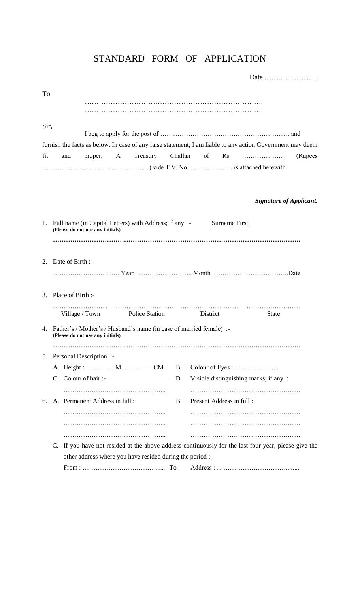## STANDARD FORM OF APPLICATION

| To   |                      |                                  |                                                                        |           |                                                                                                           |                                |         |
|------|----------------------|----------------------------------|------------------------------------------------------------------------|-----------|-----------------------------------------------------------------------------------------------------------|--------------------------------|---------|
|      |                      |                                  |                                                                        |           |                                                                                                           |                                |         |
|      |                      |                                  |                                                                        |           |                                                                                                           |                                |         |
| Sir, |                      |                                  |                                                                        |           |                                                                                                           |                                |         |
|      |                      |                                  |                                                                        |           | furnish the facts as below. In case of any false statement, I am liable to any action Government may deem |                                |         |
| fit  | and                  | proper, A                        | Treasury Challan                                                       |           | of                                                                                                        |                                | (Rupees |
|      |                      |                                  |                                                                        |           |                                                                                                           |                                |         |
|      |                      |                                  |                                                                        |           |                                                                                                           |                                |         |
|      |                      |                                  |                                                                        |           |                                                                                                           | <b>Signature of Applicant.</b> |         |
|      |                      |                                  |                                                                        |           |                                                                                                           |                                |         |
|      |                      | (Please do not use any initials) | 1. Full name (in Capital Letters) with Address; if any :-              |           | Surname First.                                                                                            |                                |         |
|      |                      |                                  |                                                                        |           |                                                                                                           |                                |         |
|      |                      |                                  |                                                                        |           |                                                                                                           |                                |         |
|      | 2. Date of Birth :-  |                                  |                                                                        |           |                                                                                                           |                                |         |
|      |                      |                                  |                                                                        |           |                                                                                                           |                                |         |
|      | 3. Place of Birth :- |                                  |                                                                        |           |                                                                                                           |                                |         |
|      |                      |                                  | Village / Town Police Station District                                 |           |                                                                                                           | <b>State</b>                   |         |
|      |                      | (Please do not use any initials) | 4. Father's / Mother's / Husband's name (in case of married female) :- |           |                                                                                                           |                                |         |
|      |                      |                                  |                                                                        |           |                                                                                                           |                                |         |
| 5.   |                      | Personal Description :-          |                                                                        |           |                                                                                                           |                                |         |
|      |                      |                                  |                                                                        | <b>B.</b> |                                                                                                           |                                |         |
|      | C. Colour of hair :- |                                  |                                                                        | D.        | Visible distinguishing marks; if any:                                                                     |                                |         |
|      |                      |                                  |                                                                        |           |                                                                                                           |                                |         |
|      |                      | 6. A. Permanent Address in full: |                                                                        | <b>B.</b> | Present Address in full:                                                                                  |                                |         |
|      |                      |                                  |                                                                        |           |                                                                                                           |                                |         |
|      |                      |                                  |                                                                        |           |                                                                                                           |                                |         |
|      |                      |                                  |                                                                        |           | C. If you have not resided at the above address continuously for the last four year, please give the      |                                |         |
|      |                      |                                  | other address where you have resided during the period :-              |           |                                                                                                           |                                |         |
|      |                      |                                  |                                                                        |           |                                                                                                           |                                |         |
|      |                      |                                  |                                                                        |           |                                                                                                           |                                |         |